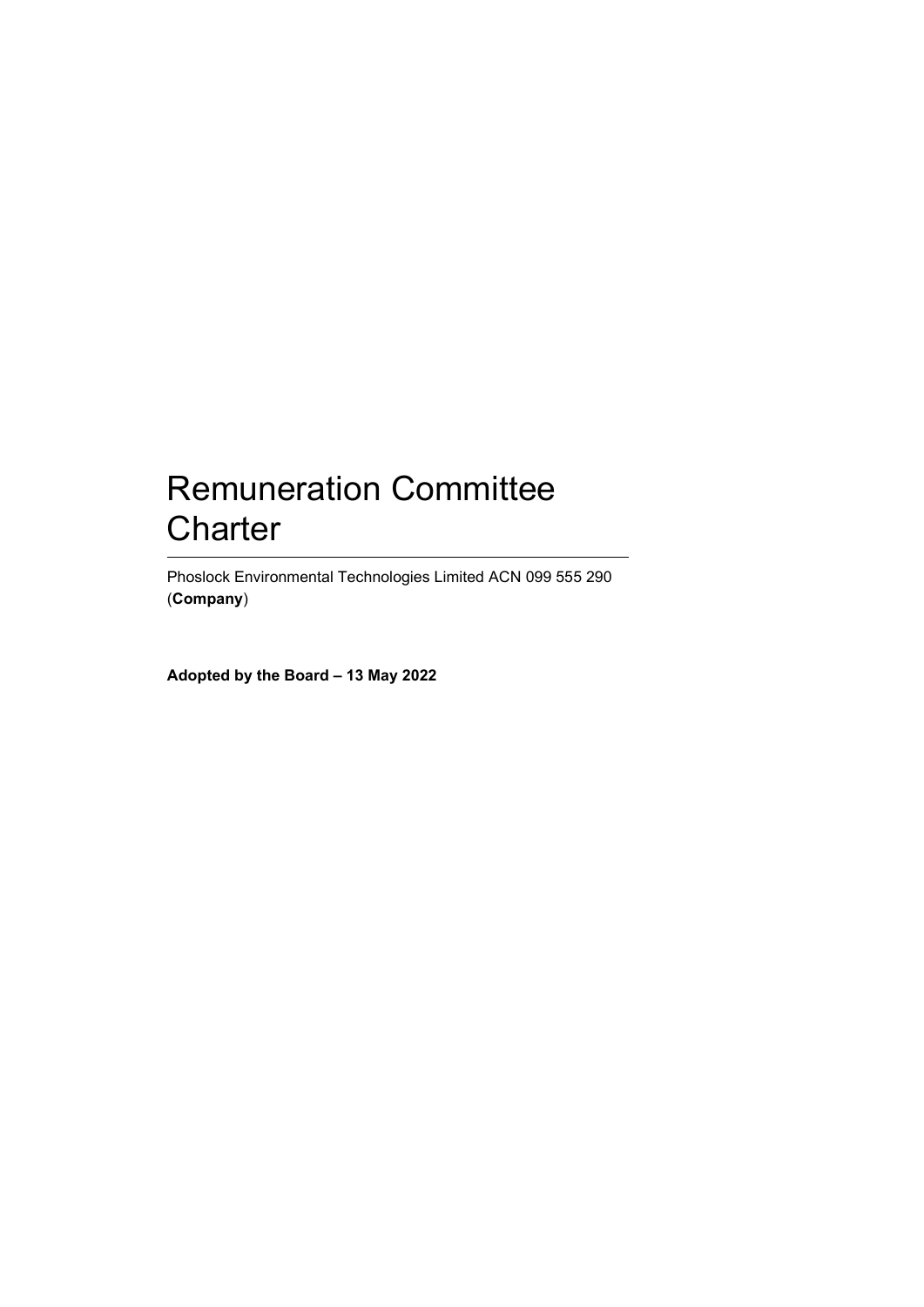# Remuneration Committee **Charter**

Phoslock Environmental Technologies Limited ACN 099 555 290 (**Company**)

**Adopted by the Board – 13 May 2022**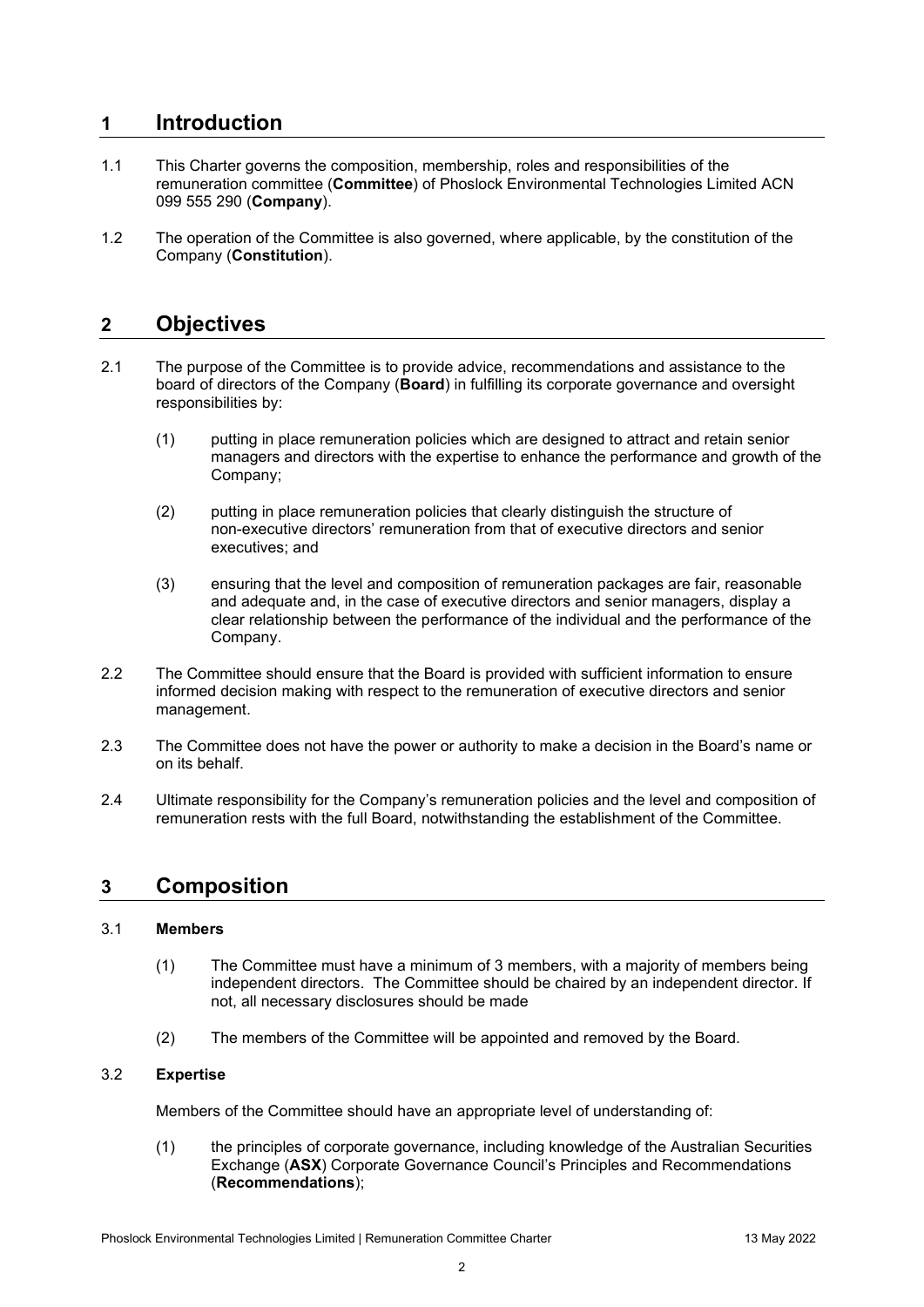## **1 Introduction**

- 1.1 This Charter governs the composition, membership, roles and responsibilities of the remuneration committee (**Committee**) of Phoslock Environmental Technologies Limited ACN 099 555 290 (**Company**).
- 1.2 The operation of the Committee is also governed, where applicable, by the constitution of the Company (**Constitution**).

### **2 Objectives**

- 2.1 The purpose of the Committee is to provide advice, recommendations and assistance to the board of directors of the Company (**Board**) in fulfilling its corporate governance and oversight responsibilities by:
	- (1) putting in place remuneration policies which are designed to attract and retain senior managers and directors with the expertise to enhance the performance and growth of the Company;
	- (2) putting in place remuneration policies that clearly distinguish the structure of non-executive directors' remuneration from that of executive directors and senior executives; and
	- (3) ensuring that the level and composition of remuneration packages are fair, reasonable and adequate and, in the case of executive directors and senior managers, display a clear relationship between the performance of the individual and the performance of the Company.
- 2.2 The Committee should ensure that the Board is provided with sufficient information to ensure informed decision making with respect to the remuneration of executive directors and senior management.
- 2.3 The Committee does not have the power or authority to make a decision in the Board's name or on its behalf.
- 2.4 Ultimate responsibility for the Company's remuneration policies and the level and composition of remuneration rests with the full Board, notwithstanding the establishment of the Committee.

### **3 Composition**

### 3.1 **Members**

- (1) The Committee must have a minimum of 3 members, with a majority of members being independent directors. The Committee should be chaired by an independent director. If not, all necessary disclosures should be made
- (2) The members of the Committee will be appointed and removed by the Board.

### 3.2 **Expertise**

Members of the Committee should have an appropriate level of understanding of:

(1) the principles of corporate governance, including knowledge of the Australian Securities Exchange (**ASX**) Corporate Governance Council's Principles and Recommendations (**Recommendations**);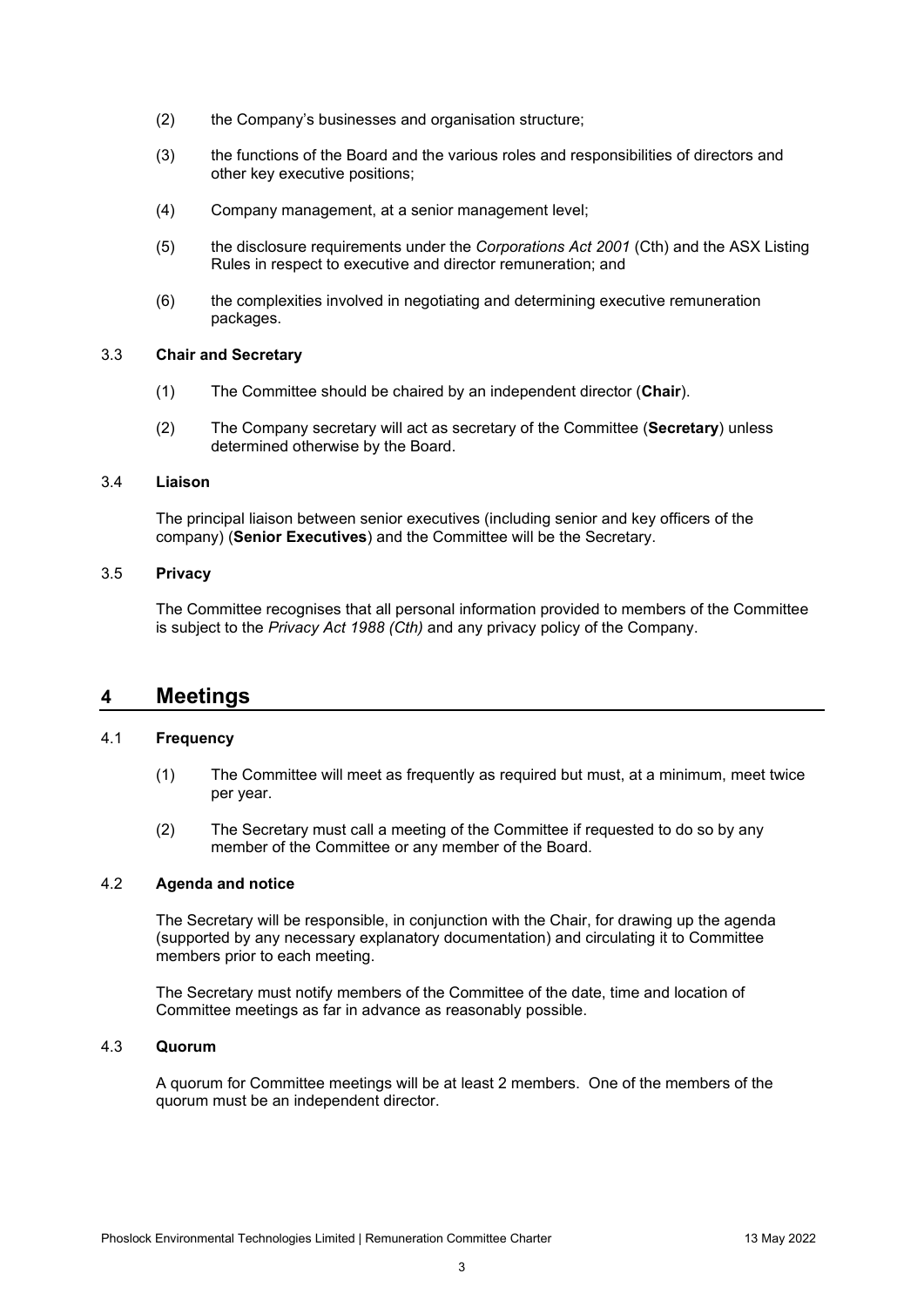- (2) the Company's businesses and organisation structure;
- (3) the functions of the Board and the various roles and responsibilities of directors and other key executive positions;
- (4) Company management, at a senior management level;
- (5) the disclosure requirements under the *Corporations Act 2001* (Cth) and the ASX Listing Rules in respect to executive and director remuneration; and
- (6) the complexities involved in negotiating and determining executive remuneration packages.

### 3.3 **Chair and Secretary**

- (1) The Committee should be chaired by an independent director (**Chair**).
- (2) The Company secretary will act as secretary of the Committee (**Secretary**) unless determined otherwise by the Board.

#### 3.4 **Liaison**

The principal liaison between senior executives (including senior and key officers of the company) (**Senior Executives**) and the Committee will be the Secretary.

### 3.5 **Privacy**

The Committee recognises that all personal information provided to members of the Committee is subject to the *Privacy Act 1988 (Cth)* and any privacy policy of the Company.

### **4 Meetings**

### 4.1 **Frequency**

- (1) The Committee will meet as frequently as required but must, at a minimum, meet twice per year.
- (2) The Secretary must call a meeting of the Committee if requested to do so by any member of the Committee or any member of the Board.

#### 4.2 **Agenda and notice**

The Secretary will be responsible, in conjunction with the Chair, for drawing up the agenda (supported by any necessary explanatory documentation) and circulating it to Committee members prior to each meeting.

The Secretary must notify members of the Committee of the date, time and location of Committee meetings as far in advance as reasonably possible.

### 4.3 **Quorum**

A quorum for Committee meetings will be at least 2 members. One of the members of the quorum must be an independent director.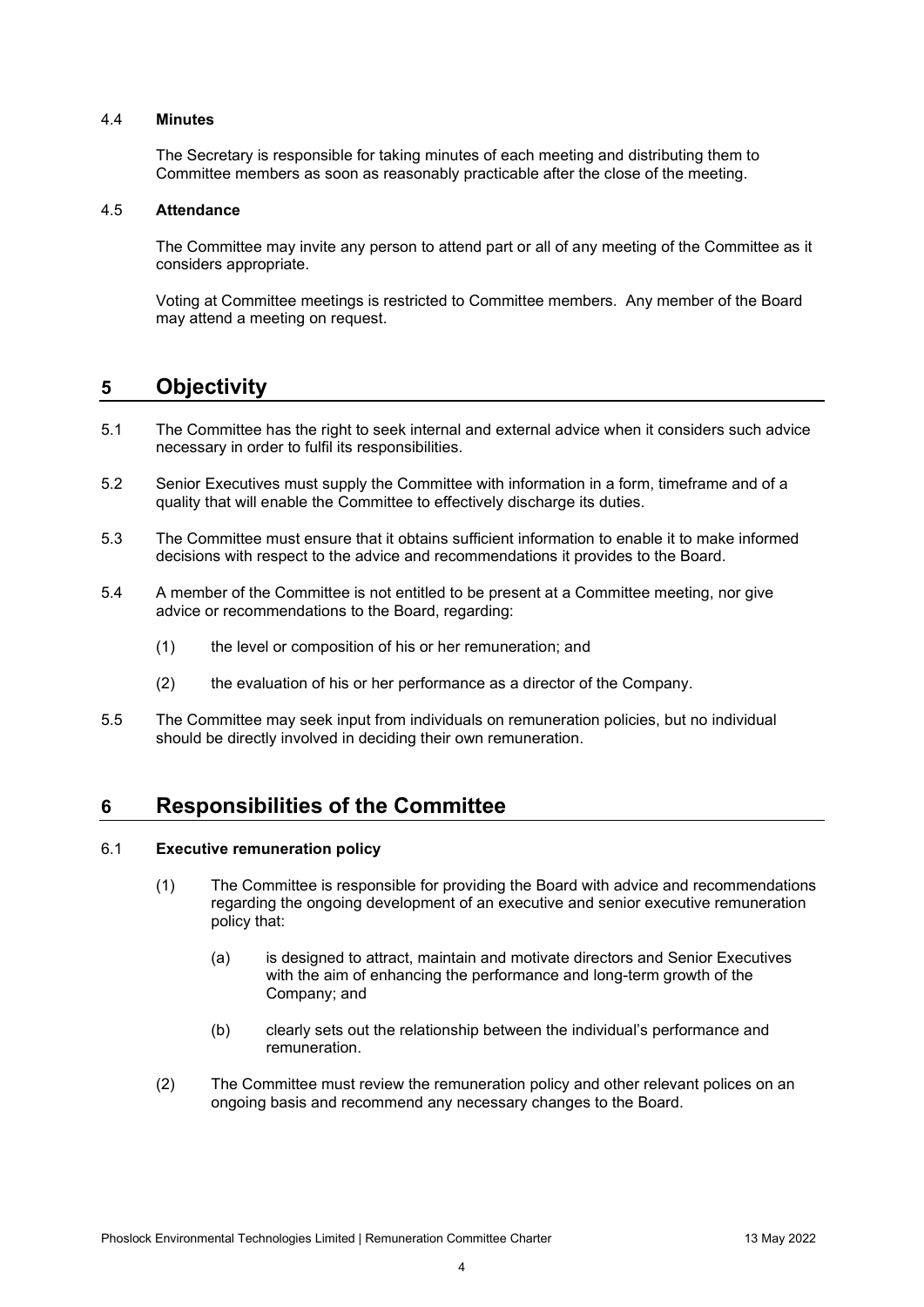#### 4.4 **Minutes**

The Secretary is responsible for taking minutes of each meeting and distributing them to Committee members as soon as reasonably practicable after the close of the meeting.

#### 4.5 **Attendance**

The Committee may invite any person to attend part or all of any meeting of the Committee as it considers appropriate.

Voting at Committee meetings is restricted to Committee members. Any member of the Board may attend a meeting on request.

### **5 Objectivity**

- 5.1 The Committee has the right to seek internal and external advice when it considers such advice necessary in order to fulfil its responsibilities.
- 5.2 Senior Executives must supply the Committee with information in a form, timeframe and of a quality that will enable the Committee to effectively discharge its duties.
- 5.3 The Committee must ensure that it obtains sufficient information to enable it to make informed decisions with respect to the advice and recommendations it provides to the Board.
- 5.4 A member of the Committee is not entitled to be present at a Committee meeting, nor give advice or recommendations to the Board, regarding:
	- (1) the level or composition of his or her remuneration; and
	- (2) the evaluation of his or her performance as a director of the Company.
- 5.5 The Committee may seek input from individuals on remuneration policies, but no individual should be directly involved in deciding their own remuneration.

### **6 Responsibilities of the Committee**

#### 6.1 **Executive remuneration policy**

- (1) The Committee is responsible for providing the Board with advice and recommendations regarding the ongoing development of an executive and senior executive remuneration policy that:
	- (a) is designed to attract, maintain and motivate directors and Senior Executives with the aim of enhancing the performance and long-term growth of the Company; and
	- (b) clearly sets out the relationship between the individual's performance and remuneration.
- (2) The Committee must review the remuneration policy and other relevant polices on an ongoing basis and recommend any necessary changes to the Board.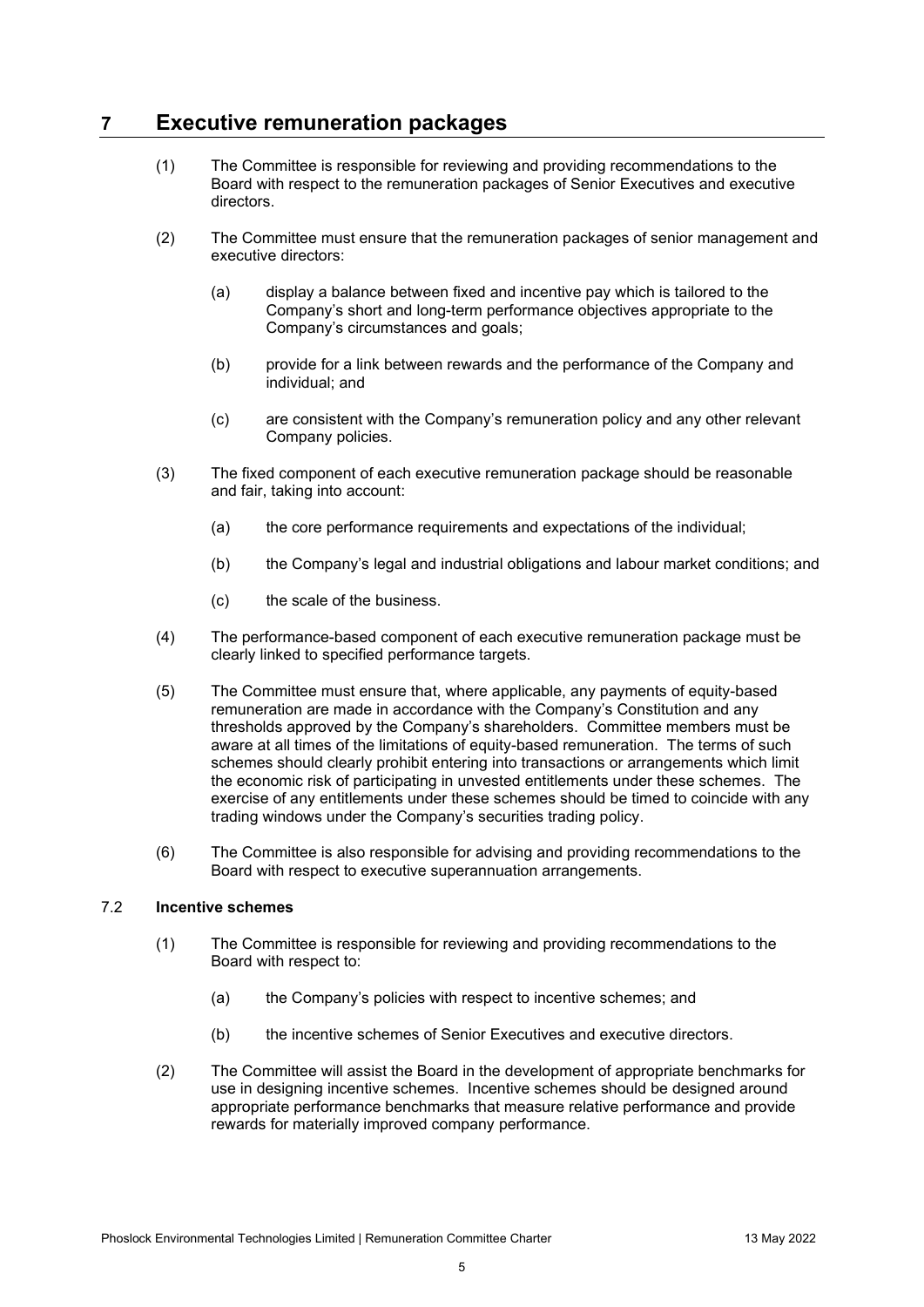### **7 Executive remuneration packages**

- (1) The Committee is responsible for reviewing and providing recommendations to the Board with respect to the remuneration packages of Senior Executives and executive directors.
- (2) The Committee must ensure that the remuneration packages of senior management and executive directors:
	- (a) display a balance between fixed and incentive pay which is tailored to the Company's short and long-term performance objectives appropriate to the Company's circumstances and goals;
	- (b) provide for a link between rewards and the performance of the Company and individual; and
	- (c) are consistent with the Company's remuneration policy and any other relevant Company policies.
- (3) The fixed component of each executive remuneration package should be reasonable and fair, taking into account:
	- (a) the core performance requirements and expectations of the individual;
	- (b) the Company's legal and industrial obligations and labour market conditions; and
	- (c) the scale of the business.
- (4) The performance-based component of each executive remuneration package must be clearly linked to specified performance targets.
- (5) The Committee must ensure that, where applicable, any payments of equity-based remuneration are made in accordance with the Company's Constitution and any thresholds approved by the Company's shareholders. Committee members must be aware at all times of the limitations of equity-based remuneration. The terms of such schemes should clearly prohibit entering into transactions or arrangements which limit the economic risk of participating in unvested entitlements under these schemes. The exercise of any entitlements under these schemes should be timed to coincide with any trading windows under the Company's securities trading policy.
- (6) The Committee is also responsible for advising and providing recommendations to the Board with respect to executive superannuation arrangements.

### 7.2 **Incentive schemes**

- (1) The Committee is responsible for reviewing and providing recommendations to the Board with respect to:
	- (a) the Company's policies with respect to incentive schemes; and
	- (b) the incentive schemes of Senior Executives and executive directors.
- (2) The Committee will assist the Board in the development of appropriate benchmarks for use in designing incentive schemes. Incentive schemes should be designed around appropriate performance benchmarks that measure relative performance and provide rewards for materially improved company performance.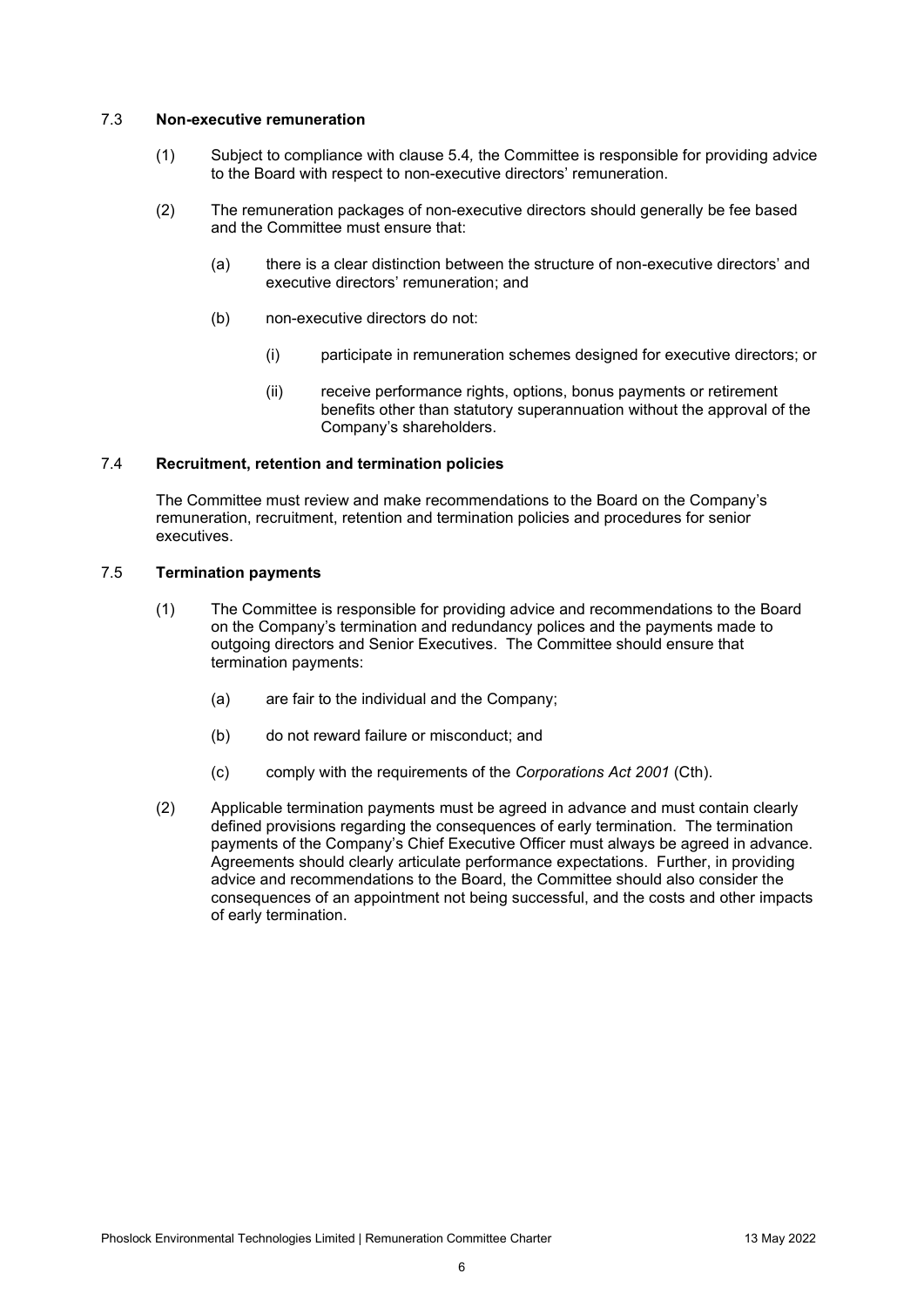#### 7.3 **Non-executive remuneration**

- (1) Subject to compliance with clause 5.4*,* the Committee is responsible for providing advice to the Board with respect to non-executive directors' remuneration.
- (2) The remuneration packages of non-executive directors should generally be fee based and the Committee must ensure that:
	- (a) there is a clear distinction between the structure of non-executive directors' and executive directors' remuneration; and
	- (b) non-executive directors do not:
		- (i) participate in remuneration schemes designed for executive directors; or
		- (ii) receive performance rights, options, bonus payments or retirement benefits other than statutory superannuation without the approval of the Company's shareholders.

#### 7.4 **Recruitment, retention and termination policies**

The Committee must review and make recommendations to the Board on the Company's remuneration, recruitment, retention and termination policies and procedures for senior executives.

#### 7.5 **Termination payments**

- (1) The Committee is responsible for providing advice and recommendations to the Board on the Company's termination and redundancy polices and the payments made to outgoing directors and Senior Executives. The Committee should ensure that termination payments:
	- (a) are fair to the individual and the Company;
	- (b) do not reward failure or misconduct; and
	- (c) comply with the requirements of the *Corporations Act 2001* (Cth).
- (2) Applicable termination payments must be agreed in advance and must contain clearly defined provisions regarding the consequences of early termination. The termination payments of the Company's Chief Executive Officer must always be agreed in advance. Agreements should clearly articulate performance expectations. Further, in providing advice and recommendations to the Board, the Committee should also consider the consequences of an appointment not being successful, and the costs and other impacts of early termination.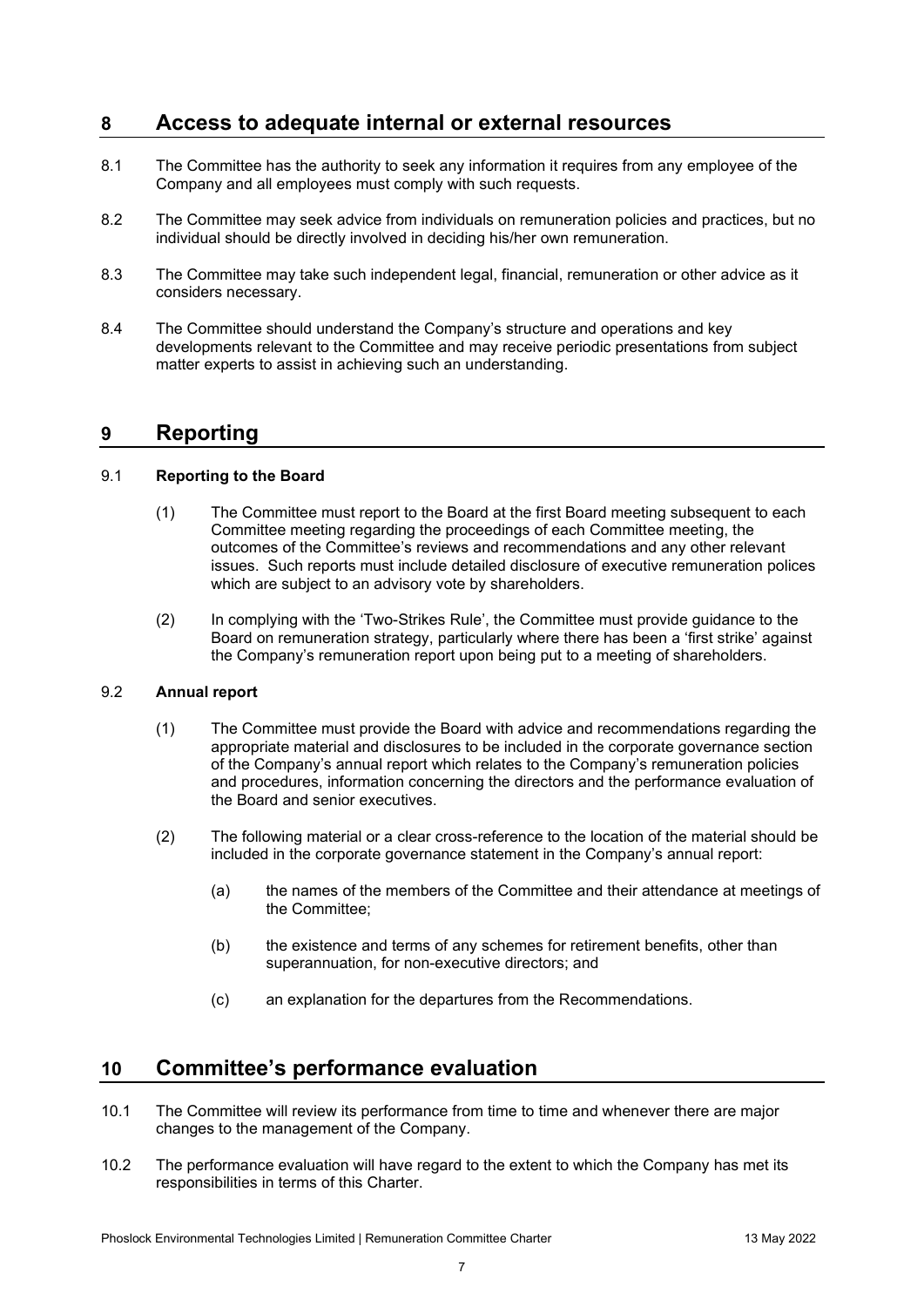## **8 Access to adequate internal or external resources**

- 8.1 The Committee has the authority to seek any information it requires from any employee of the Company and all employees must comply with such requests.
- 8.2 The Committee may seek advice from individuals on remuneration policies and practices, but no individual should be directly involved in deciding his/her own remuneration.
- 8.3 The Committee may take such independent legal, financial, remuneration or other advice as it considers necessary.
- 8.4 The Committee should understand the Company's structure and operations and key developments relevant to the Committee and may receive periodic presentations from subject matter experts to assist in achieving such an understanding.

### **9 Reporting**

### 9.1 **Reporting to the Board**

- (1) The Committee must report to the Board at the first Board meeting subsequent to each Committee meeting regarding the proceedings of each Committee meeting, the outcomes of the Committee's reviews and recommendations and any other relevant issues. Such reports must include detailed disclosure of executive remuneration polices which are subject to an advisory vote by shareholders.
- (2) In complying with the 'Two-Strikes Rule', the Committee must provide guidance to the Board on remuneration strategy, particularly where there has been a 'first strike' against the Company's remuneration report upon being put to a meeting of shareholders.

### 9.2 **Annual report**

- (1) The Committee must provide the Board with advice and recommendations regarding the appropriate material and disclosures to be included in the corporate governance section of the Company's annual report which relates to the Company's remuneration policies and procedures, information concerning the directors and the performance evaluation of the Board and senior executives.
- (2) The following material or a clear cross-reference to the location of the material should be included in the corporate governance statement in the Company's annual report:
	- (a) the names of the members of the Committee and their attendance at meetings of the Committee;
	- (b) the existence and terms of any schemes for retirement benefits, other than superannuation, for non-executive directors; and
	- (c) an explanation for the departures from the Recommendations.

### **10 Committee's performance evaluation**

- 10.1 The Committee will review its performance from time to time and whenever there are major changes to the management of the Company.
- 10.2 The performance evaluation will have regard to the extent to which the Company has met its responsibilities in terms of this Charter.